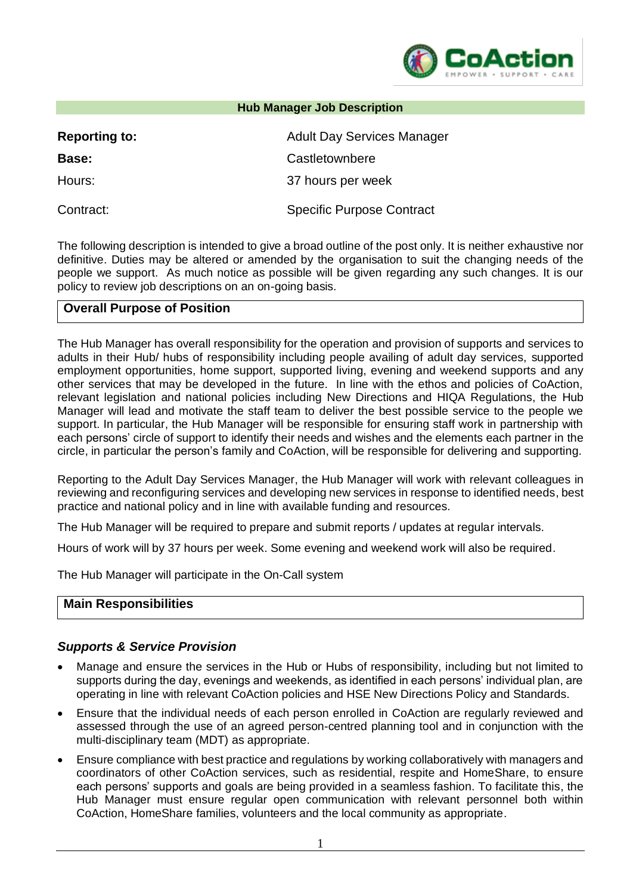

# **Reporting to:** Adult Day Services Manager **Base:** Castletownbere Hours: 37 hours per week Contract: Specific Purpose Contract

The following description is intended to give a broad outline of the post only. It is neither exhaustive nor definitive. Duties may be altered or amended by the organisation to suit the changing needs of the people we support. As much notice as possible will be given regarding any such changes. It is our policy to review job descriptions on an on-going basis.

**Hub Manager Job Description** 

## **Overall Purpose of Position**

The Hub Manager has overall responsibility for the operation and provision of supports and services to adults in their Hub/ hubs of responsibility including people availing of adult day services, supported employment opportunities, home support, supported living, evening and weekend supports and any other services that may be developed in the future. In line with the ethos and policies of CoAction, relevant legislation and national policies including New Directions and HIQA Regulations, the Hub Manager will lead and motivate the staff team to deliver the best possible service to the people we support. In particular, the Hub Manager will be responsible for ensuring staff work in partnership with each persons' circle of support to identify their needs and wishes and the elements each partner in the circle, in particular the person's family and CoAction, will be responsible for delivering and supporting.

Reporting to the Adult Day Services Manager, the Hub Manager will work with relevant colleagues in reviewing and reconfiguring services and developing new services in response to identified needs, best practice and national policy and in line with available funding and resources.

The Hub Manager will be required to prepare and submit reports / updates at regular intervals.

Hours of work will by 37 hours per week. Some evening and weekend work will also be required.

The Hub Manager will participate in the On-Call system

#### **Main Responsibilities**

### *Supports & Service Provision*

- Manage and ensure the services in the Hub or Hubs of responsibility, including but not limited to supports during the day, evenings and weekends, as identified in each persons' individual plan, are operating in line with relevant CoAction policies and HSE New Directions Policy and Standards.
- Ensure that the individual needs of each person enrolled in CoAction are regularly reviewed and assessed through the use of an agreed person-centred planning tool and in conjunction with the multi-disciplinary team (MDT) as appropriate.
- Ensure compliance with best practice and regulations by working collaboratively with managers and coordinators of other CoAction services, such as residential, respite and HomeShare, to ensure each persons' supports and goals are being provided in a seamless fashion. To facilitate this, the Hub Manager must ensure regular open communication with relevant personnel both within CoAction, HomeShare families, volunteers and the local community as appropriate.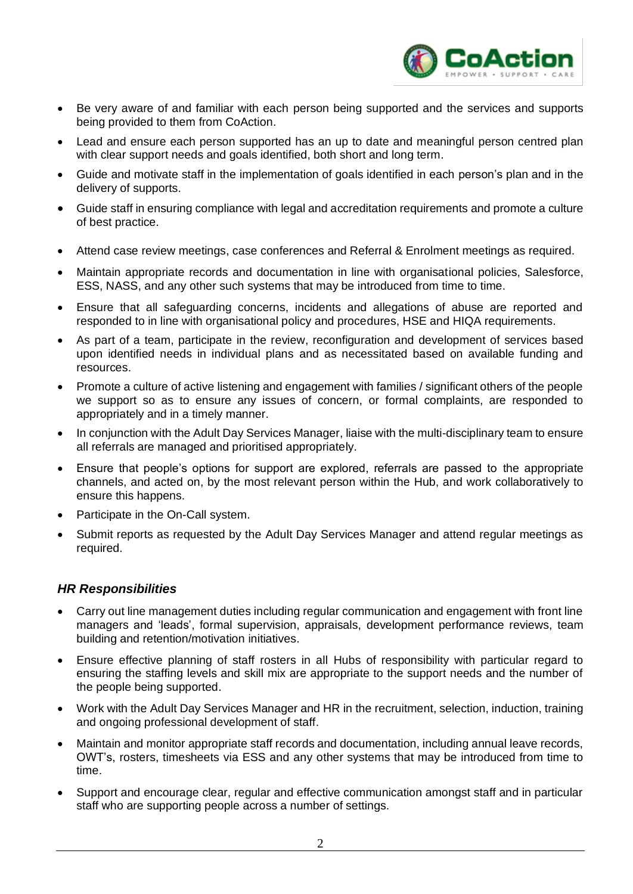

- Be very aware of and familiar with each person being supported and the services and supports being provided to them from CoAction.
- Lead and ensure each person supported has an up to date and meaningful person centred plan with clear support needs and goals identified, both short and long term.
- Guide and motivate staff in the implementation of goals identified in each person's plan and in the delivery of supports.
- Guide staff in ensuring compliance with legal and accreditation requirements and promote a culture of best practice.
- Attend case review meetings, case conferences and Referral & Enrolment meetings as required.
- Maintain appropriate records and documentation in line with organisational policies, Salesforce, ESS, NASS, and any other such systems that may be introduced from time to time.
- Ensure that all safeguarding concerns, incidents and allegations of abuse are reported and responded to in line with organisational policy and procedures, HSE and HIQA requirements.
- As part of a team, participate in the review, reconfiguration and development of services based upon identified needs in individual plans and as necessitated based on available funding and resources.
- Promote a culture of active listening and engagement with families / significant others of the people we support so as to ensure any issues of concern, or formal complaints, are responded to appropriately and in a timely manner.
- In conjunction with the Adult Day Services Manager, liaise with the multi-disciplinary team to ensure all referrals are managed and prioritised appropriately.
- Ensure that people's options for support are explored, referrals are passed to the appropriate channels, and acted on, by the most relevant person within the Hub, and work collaboratively to ensure this happens.
- Participate in the On-Call system.
- Submit reports as requested by the Adult Day Services Manager and attend regular meetings as required.

#### *HR Responsibilities*

- Carry out line management duties including regular communication and engagement with front line managers and 'leads', formal supervision, appraisals, development performance reviews, team building and retention/motivation initiatives.
- Ensure effective planning of staff rosters in all Hubs of responsibility with particular regard to ensuring the staffing levels and skill mix are appropriate to the support needs and the number of the people being supported.
- Work with the Adult Day Services Manager and HR in the recruitment, selection, induction, training and ongoing professional development of staff.
- Maintain and monitor appropriate staff records and documentation, including annual leave records, OWT's, rosters, timesheets via ESS and any other systems that may be introduced from time to time.
- Support and encourage clear, regular and effective communication amongst staff and in particular staff who are supporting people across a number of settings.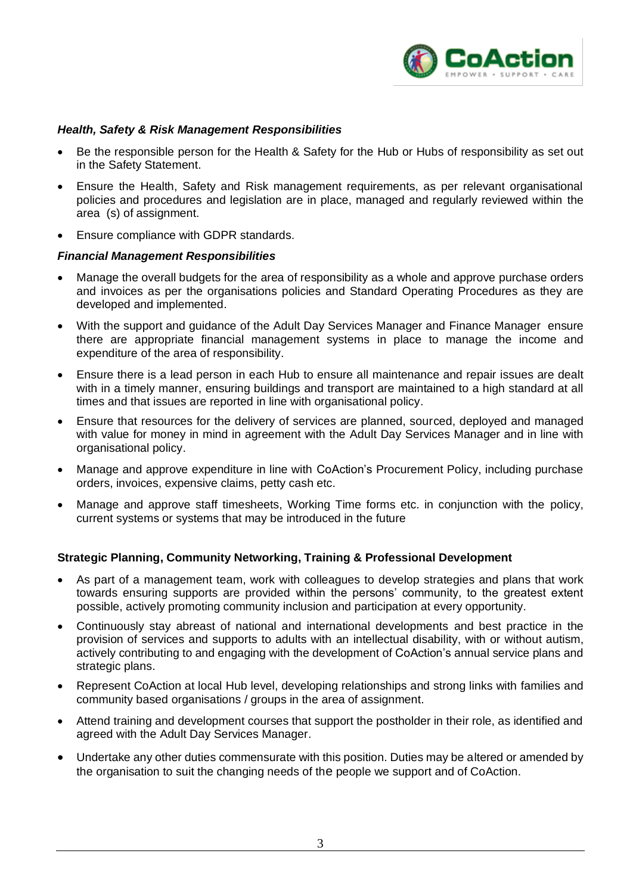

#### *Health, Safety & Risk Management Responsibilities*

- Be the responsible person for the Health & Safety for the Hub or Hubs of responsibility as set out in the Safety Statement.
- Ensure the Health, Safety and Risk management requirements, as per relevant organisational policies and procedures and legislation are in place, managed and regularly reviewed within the area (s) of assignment.
- Ensure compliance with GDPR standards.

#### *Financial Management Responsibilities*

- Manage the overall budgets for the area of responsibility as a whole and approve purchase orders and invoices as per the organisations policies and Standard Operating Procedures as they are developed and implemented.
- With the support and guidance of the Adult Day Services Manager and Finance Manager ensure there are appropriate financial management systems in place to manage the income and expenditure of the area of responsibility.
- Ensure there is a lead person in each Hub to ensure all maintenance and repair issues are dealt with in a timely manner, ensuring buildings and transport are maintained to a high standard at all times and that issues are reported in line with organisational policy.
- Ensure that resources for the delivery of services are planned, sourced, deployed and managed with value for money in mind in agreement with the Adult Day Services Manager and in line with organisational policy.
- Manage and approve expenditure in line with CoAction's Procurement Policy, including purchase orders, invoices, expensive claims, petty cash etc.
- Manage and approve staff timesheets, Working Time forms etc. in conjunction with the policy, current systems or systems that may be introduced in the future

#### **Strategic Planning, Community Networking, Training & Professional Development**

- As part of a management team, work with colleagues to develop strategies and plans that work towards ensuring supports are provided within the persons' community, to the greatest extent possible, actively promoting community inclusion and participation at every opportunity.
- Continuously stay abreast of national and international developments and best practice in the provision of services and supports to adults with an intellectual disability, with or without autism, actively contributing to and engaging with the development of CoAction's annual service plans and strategic plans.
- Represent CoAction at local Hub level, developing relationships and strong links with families and community based organisations / groups in the area of assignment.
- Attend training and development courses that support the postholder in their role, as identified and agreed with the Adult Day Services Manager.
- Undertake any other duties commensurate with this position. Duties may be altered or amended by the organisation to suit the changing needs of the people we support and of CoAction.